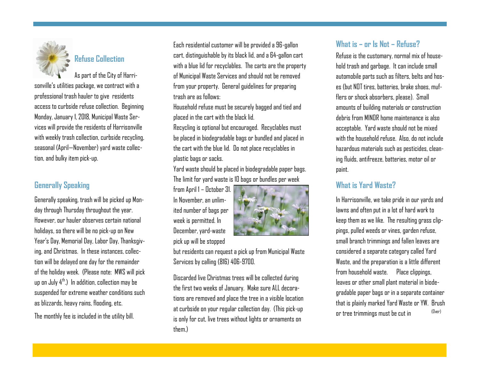

## **Refuse Collection**

As part of the City of Harrisonville's utilities package, we contract with a professional trash hauler to give residents access to curbside refuse collection. Beginning Monday, January 1, 2018, Municipal Waste Services will provide the residents of Harrisonville with weekly trash collection, curbside recycling, seasonal (April—November) yard waste collection, and bulky item pick-up.

#### **Generally Speaking**

Generally speaking, trash will be picked up Monday through Thursday throughout the year. However, our hauler observes certain national holidays, so there will be no pick-up on New Year's Day, Memorial Day, Labor Day, Thanksgiving, and Christmas. In these instances, collection will be delayed one day for the remainder of the holiday week. (Please note: MWS will pick up on July  $4^{\text{th}}$ .) In addition, collection may be suspended for extreme weather conditions such as blizzards, heavy rains, flooding, etc.

The monthly fee is included in the utility bill.

Each residential customer will be provided a 96-gallon cart, distinguishable by its black lid, and a 64-gallon cart with a blue lid for recyclables. The carts are the property of Municipal Waste Services and should not be removed from your property. General guidelines for preparing trash are as follows:

Household refuse must be securely bagged and tied and placed in the cart with the black lid.

Recycling is optional but encouraged. Recyclables must be placed in biodegradable bags or bundled and placed in the cart with the blue lid. Do not place recyclables in plastic bags or sacks.

Yard waste should be placed in biodegradable paper bags. The limit for yard waste is 10 bags or bundles per week

from April 1 – October 31. In November, an unlimited number of bags per week is permitted. In December, yard-waste pick up will be stopped



but residents can request a pick up from Municipal Waste Services by calling (816) 406-9700.

Discarded live Christmas trees will be collected during the first two weeks of January. Make sure ALL decorations are removed and place the tree in a visible location at curbside on your regular collection day. (This pick-up is only for cut, live trees without lights or ornaments on them.)

#### **What is – or Is Not – Refuse?**

Refuse is the customary, normal mix of household trash and garbage. It can include small automobile parts such as filters, belts and hoses (but NOT tires, batteries, brake shoes, mufflers or shock absorbers, please). Small amounts of building materials or construction debris from MINOR home maintenance is also acceptable. Yard waste should not be mixed with the household refuse. Also, do not include. hazardous materials such as pesticides, cleaning fluids, antifreeze, batteries, motor oil or paint.

#### **What is Yard Waste?**

In Harrisonville, we take pride in our yards and lawns and often put in a lot of hard work to keep them as we like. The resulting grass clippings, pulled weeds or vines, garden refuse, small branch trimmings and fallen leaves are considered a separate category called Yard Waste, and the preparation is a little different from household waste. Place clippings, leaves or other small plant material in biodegradable paper bags or in a separate container that is plainly marked Yard Waste or YW. Brush or tree trimmings must be cut in (Over)